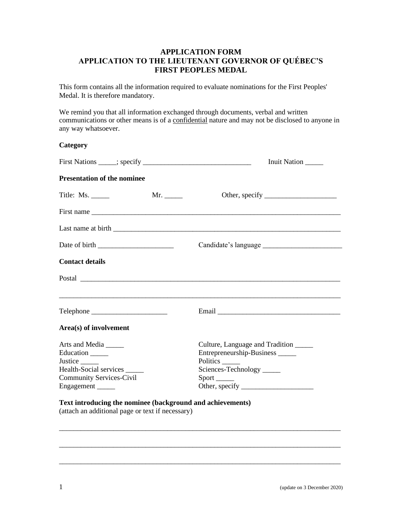## **APPLICATION FORM APPLICATION TO THE LIEUTENANT GOVERNOR OF QUÉBEC'S FIRST PEOPLES MEDAL**

This form contains all the information required to evaluate nominations for the First Peoples' Medal. It is therefore mandatory.

We remind you that all information exchanged through documents, verbal and written communications or other means is of a confidential nature and may not be disclosed to anyone in any way whatsoever.

## **Category**

|                                                                                                                | Inuit Nation                                                                     |
|----------------------------------------------------------------------------------------------------------------|----------------------------------------------------------------------------------|
| <b>Presentation of the nominee</b>                                                                             |                                                                                  |
| Title: $Ms.$<br>Mr. $\_\_\_\_\_\_\_\$                                                                          |                                                                                  |
|                                                                                                                |                                                                                  |
|                                                                                                                |                                                                                  |
|                                                                                                                |                                                                                  |
| <b>Contact details</b>                                                                                         |                                                                                  |
|                                                                                                                |                                                                                  |
|                                                                                                                | ,我们的人们也不能在这里的人们,我们也不能在这里的人们,我们也不能在这里的人们,我们也不能在这里的人们,我们也不能在这里的人们,我们也不能在这里的人们,我们也不 |
|                                                                                                                |                                                                                  |
| Area(s) of involvement                                                                                         |                                                                                  |
| Arts and Media ______                                                                                          | Culture, Language and Tradition ______                                           |
| Education _____                                                                                                | Entrepreneurship-Business ______                                                 |
| Justice ________                                                                                               | Politics                                                                         |
| Health-Social services                                                                                         | Sciences-Technology                                                              |
| <b>Community Services-Civil</b>                                                                                | $Sport$ <sub>_____</sub>                                                         |
| Engagement ______                                                                                              |                                                                                  |
| Text introducing the nominee (background and achievements)<br>(attach an additional page or text if necessary) |                                                                                  |

\_\_\_\_\_\_\_\_\_\_\_\_\_\_\_\_\_\_\_\_\_\_\_\_\_\_\_\_\_\_\_\_\_\_\_\_\_\_\_\_\_\_\_\_\_\_\_\_\_\_\_\_\_\_\_\_\_\_\_\_\_\_\_\_\_\_\_\_\_\_\_\_\_\_\_\_\_\_

\_\_\_\_\_\_\_\_\_\_\_\_\_\_\_\_\_\_\_\_\_\_\_\_\_\_\_\_\_\_\_\_\_\_\_\_\_\_\_\_\_\_\_\_\_\_\_\_\_\_\_\_\_\_\_\_\_\_\_\_\_\_\_\_\_\_\_\_\_\_\_\_\_\_\_\_\_\_

\_\_\_\_\_\_\_\_\_\_\_\_\_\_\_\_\_\_\_\_\_\_\_\_\_\_\_\_\_\_\_\_\_\_\_\_\_\_\_\_\_\_\_\_\_\_\_\_\_\_\_\_\_\_\_\_\_\_\_\_\_\_\_\_\_\_\_\_\_\_\_\_\_\_\_\_\_\_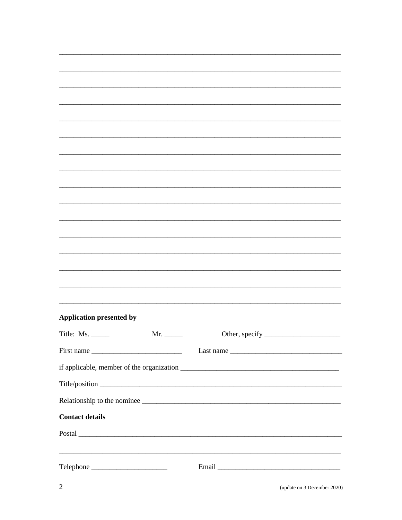| <b>Application presented by</b> |     |                                                                                                                                                                                                                                                                                                                                                                                                             |
|---------------------------------|-----|-------------------------------------------------------------------------------------------------------------------------------------------------------------------------------------------------------------------------------------------------------------------------------------------------------------------------------------------------------------------------------------------------------------|
| Title: Ms.                      | Mr. |                                                                                                                                                                                                                                                                                                                                                                                                             |
|                                 |     |                                                                                                                                                                                                                                                                                                                                                                                                             |
|                                 |     | Last name $\frac{1}{\sqrt{1-\frac{1}{2}}\sqrt{1-\frac{1}{2}}\sqrt{1-\frac{1}{2}}\sqrt{1-\frac{1}{2}}\sqrt{1-\frac{1}{2}}\sqrt{1-\frac{1}{2}}\sqrt{1-\frac{1}{2}}\sqrt{1-\frac{1}{2}}\sqrt{1-\frac{1}{2}}\sqrt{1-\frac{1}{2}}\sqrt{1-\frac{1}{2}}\sqrt{1-\frac{1}{2}}\sqrt{1-\frac{1}{2}}\sqrt{1-\frac{1}{2}}\sqrt{1-\frac{1}{2}}\sqrt{1-\frac{1}{2}}\sqrt{1-\frac{1}{2}}\sqrt{1-\frac{1}{2}}\sqrt{1-\frac{$ |
|                                 |     |                                                                                                                                                                                                                                                                                                                                                                                                             |
|                                 |     |                                                                                                                                                                                                                                                                                                                                                                                                             |
|                                 |     |                                                                                                                                                                                                                                                                                                                                                                                                             |
| <b>Contact details</b>          |     |                                                                                                                                                                                                                                                                                                                                                                                                             |
|                                 |     |                                                                                                                                                                                                                                                                                                                                                                                                             |
|                                 |     |                                                                                                                                                                                                                                                                                                                                                                                                             |
|                                 |     |                                                                                                                                                                                                                                                                                                                                                                                                             |
|                                 |     |                                                                                                                                                                                                                                                                                                                                                                                                             |